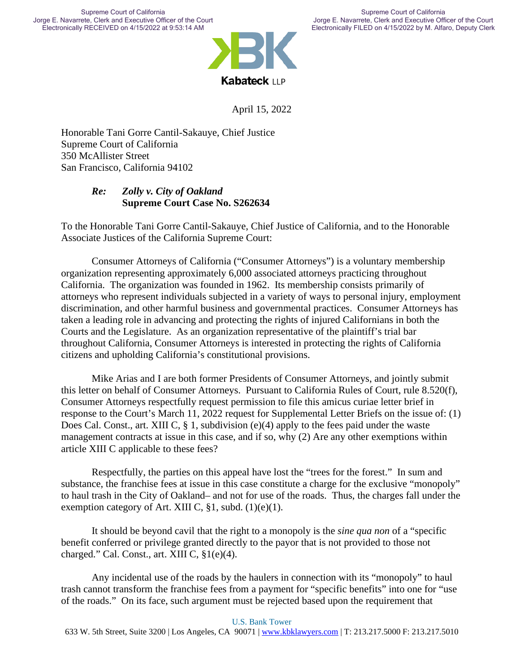

April 15, 2022

Honorable Tani Gorre Cantil-Sakauye, Chief Justice Supreme Court of California 350 McAllister Street San Francisco, California 94102

### *Re: Zolly v. City of Oakland* **Supreme Court Case No. S262634**

To the Honorable Tani Gorre Cantil-Sakauye, Chief Justice of California, and to the Honorable Associate Justices of the California Supreme Court:

Consumer Attorneys of California ("Consumer Attorneys") is a voluntary membership organization representing approximately 6,000 associated attorneys practicing throughout California. The organization was founded in 1962. Its membership consists primarily of attorneys who represent individuals subjected in a variety of ways to personal injury, employment discrimination, and other harmful business and governmental practices. Consumer Attorneys has taken a leading role in advancing and protecting the rights of injured Californians in both the Courts and the Legislature. As an organization representative of the plaintiff's trial bar throughout California, Consumer Attorneys is interested in protecting the rights of California citizens and upholding California's constitutional provisions.

Mike Arias and I are both former Presidents of Consumer Attorneys, and jointly submit this letter on behalf of Consumer Attorneys. Pursuant to California Rules of Court, rule 8.520(f), Consumer Attorneys respectfully request permission to file this amicus curiae letter brief in response to the Court's March 11, 2022 request for Supplemental Letter Briefs on the issue of: (1) Does Cal. Const., art. XIII C, § 1, subdivision (e)(4) apply to the fees paid under the waste management contracts at issue in this case, and if so, why (2) Are any other exemptions within article XIII C applicable to these fees?

Respectfully, the parties on this appeal have lost the "trees for the forest." In sum and substance, the franchise fees at issue in this case constitute a charge for the exclusive "monopoly" to haul trash in the City of Oakland– and not for use of the roads. Thus, the charges fall under the exemption category of Art. XIII C,  $\S1$ , subd. (1)(e)(1).

It should be beyond cavil that the right to a monopoly is the *sine qua non* of a "specific benefit conferred or privilege granted directly to the payor that is not provided to those not charged." Cal. Const., art. XIII C, §1(e)(4).

Any incidental use of the roads by the haulers in connection with its "monopoly" to haul trash cannot transform the franchise fees from a payment for "specific benefits" into one for "use of the roads." On its face, such argument must be rejected based upon the requirement that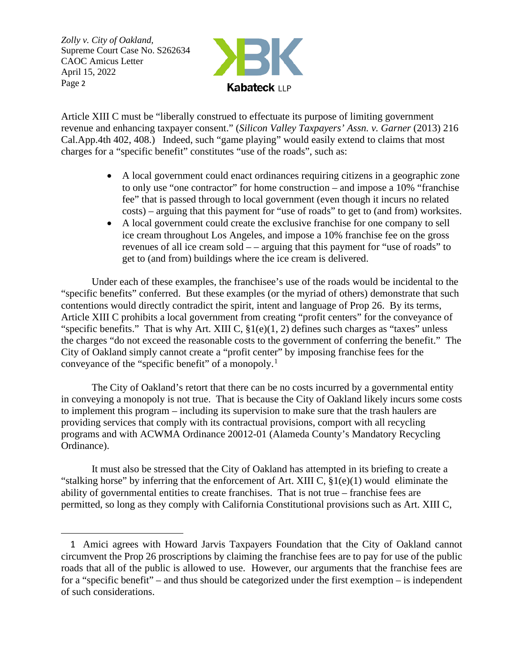

Article XIII C must be "liberally construed to effectuate its purpose of limiting government revenue and enhancing taxpayer consent." (*Silicon Valley Taxpayers' Assn. v. Garner* (2013) 216 Cal.App.4th 402, 408.) Indeed, such "game playing" would easily extend to claims that most charges for a "specific benefit" constitutes "use of the roads", such as:

- A local government could enact ordinances requiring citizens in a geographic zone to only use "one contractor" for home construction – and impose a 10% "franchise fee" that is passed through to local government (even though it incurs no related costs) – arguing that this payment for "use of roads" to get to (and from) worksites.
- A local government could create the exclusive franchise for one company to sell ice cream throughout Los Angeles, and impose a 10% franchise fee on the gross revenues of all ice cream sold – – arguing that this payment for "use of roads" to get to (and from) buildings where the ice cream is delivered.

Under each of these examples, the franchisee's use of the roads would be incidental to the "specific benefits" conferred. But these examples (or the myriad of others) demonstrate that such contentions would directly contradict the spirit, intent and language of Prop 26. By its terms, Article XIII C prohibits a local government from creating "profit centers" for the conveyance of "specific benefits." That is why Art. XIII C,  $\S1(e)(1, 2)$  defines such charges as "taxes" unless the charges "do not exceed the reasonable costs to the government of conferring the benefit." The City of Oakland simply cannot create a "profit center" by imposing franchise fees for the conveyance of the "specific benefit" of a monopoly.<sup>1</sup>

The City of Oakland's retort that there can be no costs incurred by a governmental entity in conveying a monopoly is not true. That is because the City of Oakland likely incurs some costs to implement this program – including its supervision to make sure that the trash haulers are providing services that comply with its contractual provisions, comport with all recycling programs and with ACWMA Ordinance 20012-01 (Alameda County's Mandatory Recycling Ordinance).

It must also be stressed that the City of Oakland has attempted in its briefing to create a "stalking horse" by inferring that the enforcement of Art. XIII C, §1(e)(1) would eliminate the ability of governmental entities to create franchises. That is not true – franchise fees are permitted, so long as they comply with California Constitutional provisions such as Art. XIII C,

 <sup>1</sup> Amici agrees with Howard Jarvis Taxpayers Foundation that the City of Oakland cannot circumvent the Prop 26 proscriptions by claiming the franchise fees are to pay for use of the public roads that all of the public is allowed to use. However, our arguments that the franchise fees are for a "specific benefit" – and thus should be categorized under the first exemption – is independent of such considerations.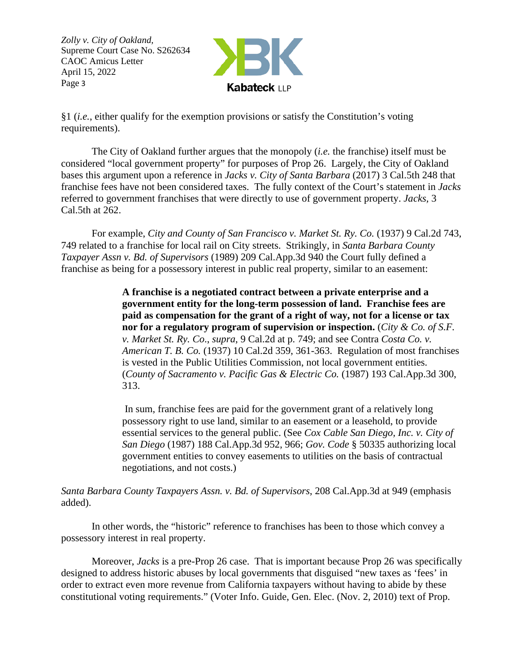

§1 (*i.e.*, either qualify for the exemption provisions or satisfy the Constitution's voting requirements).

The City of Oakland further argues that the monopoly (*i.e.* the franchise) itself must be considered "local government property" for purposes of Prop 26. Largely, the City of Oakland bases this argument upon a reference in *Jacks v. City of Santa Barbara* (2017) 3 Cal.5th 248 that franchise fees have not been considered taxes. The fully context of the Court's statement in *Jacks*  referred to government franchises that were directly to use of government property. *Jacks,* 3 Cal.5th at 262.

For example, *City and County of San Francisco v. Market St. Ry. Co.* (1937) 9 Cal.2d 743, 749 related to a franchise for local rail on City streets. Strikingly, in *Santa Barbara County Taxpayer Assn v. Bd. of Supervisors* (1989) 209 Cal.App.3d 940 the Court fully defined a franchise as being for a possessory interest in public real property, similar to an easement:

> **A franchise is a negotiated contract between a private enterprise and a government entity for the long-term possession of land. Franchise fees are paid as compensation for the grant of a right of way, not for a license or tax nor for a regulatory program of supervision or inspection.** (*City & Co. of S.F. v. Market St. Ry. Co*., *supra*, 9 Cal.2d at p. 749; and see Contra *Costa Co. v. American T. B. Co.* (1937) 10 Cal.2d 359, 361-363. Regulation of most franchises is vested in the Public Utilities Commission, not local government entities. (*County of Sacramento v. Pacific Gas & Electric Co.* (1987) 193 Cal.App.3d 300, 313.

> In sum, franchise fees are paid for the government grant of a relatively long possessory right to use land, similar to an easement or a leasehold, to provide essential services to the general public. (See *Cox Cable San Diego, Inc. v. City of San Diego* (1987) 188 Cal.App.3d 952, 966; *Gov. Code* § 50335 authorizing local government entities to convey easements to utilities on the basis of contractual negotiations, and not costs.)

*Santa Barbara County Taxpayers Assn. v. Bd. of Supervisors*, 208 Cal.App.3d at 949 (emphasis added).

In other words, the "historic" reference to franchises has been to those which convey a possessory interest in real property.

Moreover, *Jacks* is a pre-Prop 26 case. That is important because Prop 26 was specifically designed to address historic abuses by local governments that disguised "new taxes as 'fees' in order to extract even more revenue from California taxpayers without having to abide by these constitutional voting requirements." (Voter Info. Guide, Gen. Elec. (Nov. 2, 2010) text of Prop.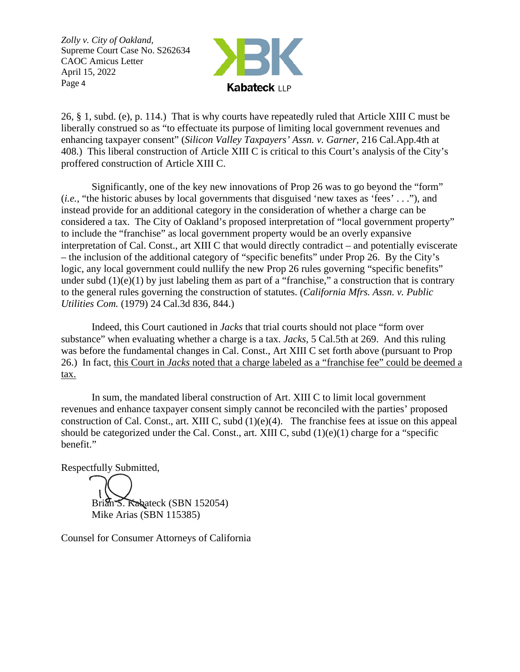

26, § 1, subd. (e), p. 114.) That is why courts have repeatedly ruled that Article XIII C must be liberally construed so as "to effectuate its purpose of limiting local government revenues and enhancing taxpayer consent" (*Silicon Valley Taxpayers' Assn. v. Garner,* 216 Cal.App.4th at 408.) This liberal construction of Article XIII C is critical to this Court's analysis of the City's proffered construction of Article XIII C.

Significantly, one of the key new innovations of Prop 26 was to go beyond the "form" (*i.e.*, "the historic abuses by local governments that disguised 'new taxes as 'fees' . . ."), and instead provide for an additional category in the consideration of whether a charge can be considered a tax. The City of Oakland's proposed interpretation of "local government property" to include the "franchise" as local government property would be an overly expansive interpretation of Cal. Const., art XIII C that would directly contradict – and potentially eviscerate – the inclusion of the additional category of "specific benefits" under Prop 26. By the City's logic, any local government could nullify the new Prop 26 rules governing "specific benefits" under subd  $(1)(e)(1)$  by just labeling them as part of a "franchise," a construction that is contrary to the general rules governing the construction of statutes. (*California Mfrs. Assn. v. Public Utilities Com.* (1979) 24 Cal.3d 836, 844.)

Indeed, this Court cautioned in *Jacks* that trial courts should not place "form over substance" when evaluating whether a charge is a tax. *Jacks,* 5 Cal.5th at 269. And this ruling was before the fundamental changes in Cal. Const., Art XIII C set forth above (pursuant to Prop 26.) In fact, this Court in *Jacks* noted that a charge labeled as a "franchise fee" could be deemed a tax.

In sum, the mandated liberal construction of Art. XIII C to limit local government revenues and enhance taxpayer consent simply cannot be reconciled with the parties' proposed construction of Cal. Const., art. XIII C, subd (1)(e)(4). The franchise fees at issue on this appeal should be categorized under the Cal. Const., art. XIII C, subd (1)(e)(1) charge for a "specific benefit."

Respectfully Submitted,

Brian S. Kabateck (SBN 152054) Mike Arias (SBN 115385)

Counsel for Consumer Attorneys of California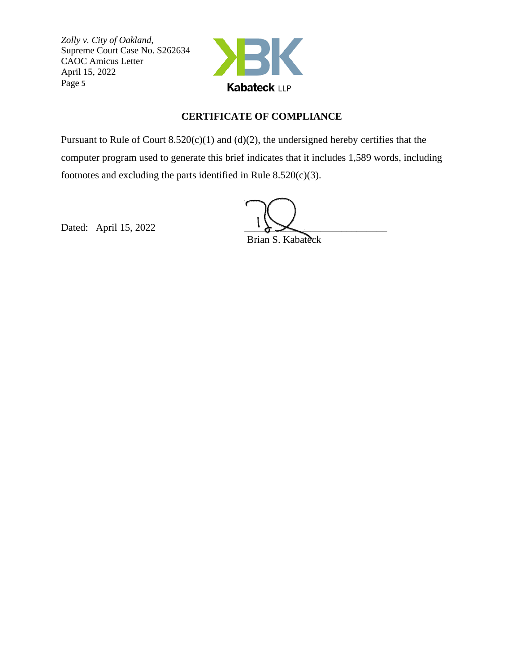

### **CERTIFICATE OF COMPLIANCE**

Pursuant to Rule of Court  $8.520(c)(1)$  and  $(d)(2)$ , the undersigned hereby certifies that the computer program used to generate this brief indicates that it includes 1,589 words, including footnotes and excluding the parts identified in Rule  $8.520(c)(3)$ .

Dated: April 15, 2022

Brian S. Kabateck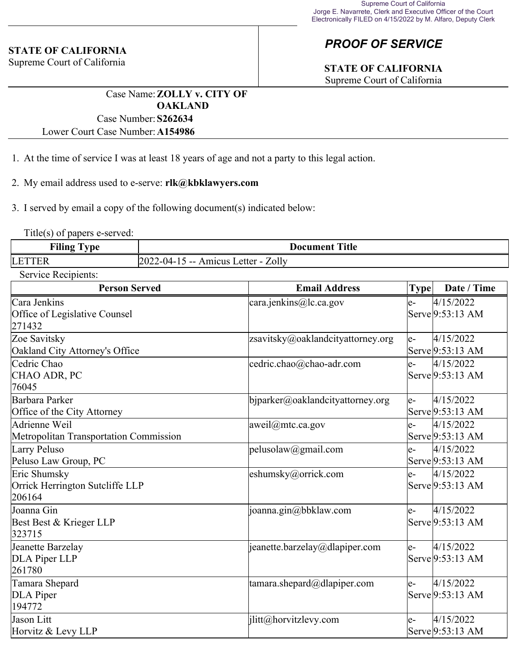#### **STATE OF CALIFORNIA**

Supreme Court of California

# *PROOF OF SERVICE*

# **STATE OF CALIFORNIA**

Supreme Court of California

Case Name:**ZOLLY v. CITY OF OAKLAND** Case Number:**S262634**

Lower Court Case Number:**A154986**

- 1. At the time of service I was at least 18 years of age and not a party to this legal action.
- 2. My email address used to e-serve: **rlk@kbklawyers.com**

3. I served by email a copy of the following document(s) indicated below:

Title(s) of papers e-served:

| $\blacksquare$<br><b>vne</b><br>Filing | <b>Document Title</b>                                        |  |
|----------------------------------------|--------------------------------------------------------------|--|
| <b>LET</b>                             | Letter - Zolly<br>2022<br>$12 - (14 - 1)$<br>Amicus<br>$- -$ |  |

Service Recipients:

| <b>Person Served</b>                                      | <b>Email Address</b>              | <b>Type</b> | Date / Time                   |
|-----------------------------------------------------------|-----------------------------------|-------------|-------------------------------|
| Cara Jenkins<br>Office of Legislative Counsel<br>271432   | cara.jenkins@lc.ca.gov            | e-          | 4/15/2022<br>Serve 9:53:13 AM |
| Zoe Savitsky<br>Oakland City Attorney's Office            | zsavitsky@oaklandcityattorney.org | le-         | 4/15/2022<br>Serve 9:53:13 AM |
| Cedric Chao<br>CHAO ADR, PC<br>76045                      | cedric.chao@chao-adr.com          | $e-$        | 4/15/2022<br>Serve 9:53:13 AM |
| Barbara Parker<br>Office of the City Attorney             | bjparker@oaklandcityattorney.org  | le-         | 4/15/2022<br>Serve 9:53:13 AM |
| Adrienne Weil<br>Metropolitan Transportation Commission   | aweil@mtc.ca.gov                  | e-          | 4/15/2022<br>Serve 9:53:13 AM |
| Larry Peluso<br>Peluso Law Group, PC                      | pelusolaw@gmail.com               | e-          | 4/15/2022<br>Serve 9:53:13 AM |
| Eric Shumsky<br>Orrick Herrington Sutcliffe LLP<br>206164 | eshumsky@orrick.com               | $e-$        | 4/15/2022<br>Serve 9:53:13 AM |
| Joanna Gin<br>Best Best & Krieger LLP<br>323715           | joanna.gin@bbklaw.com             | le-         | 4/15/2022<br>Serve 9:53:13 AM |
| Jeanette Barzelay<br>DLA Piper LLP<br>261780              | jeanette.barzelay@dlapiper.com    | e-          | 4/15/2022<br>Serve 9:53:13 AM |
| Tamara Shepard<br>DLA Piper<br>194772                     | tamara.shepard@dlapiper.com       | le-         | 4/15/2022<br>Serve 9:53:13 AM |
| Jason Litt<br>Horvitz & Levy LLP                          | jlitt@horvitzlevy.com             | le-         | 4/15/2022<br>Serve 9:53:13 AM |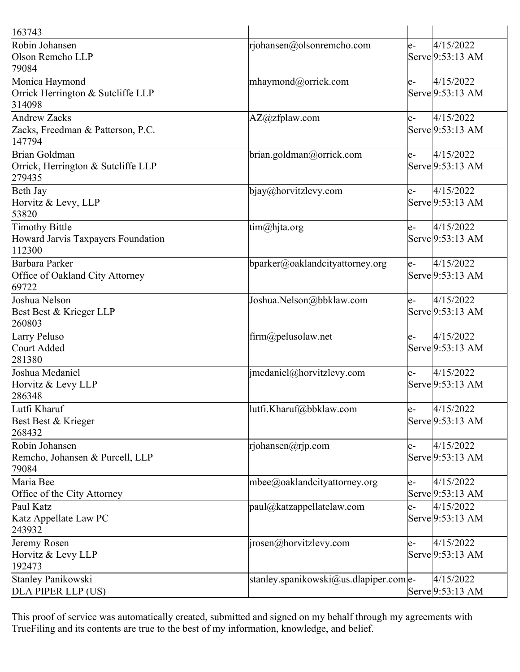| 163743                                                         |                                        |      |                                        |
|----------------------------------------------------------------|----------------------------------------|------|----------------------------------------|
| Robin Johansen<br>Olson Remcho LLP<br>79084                    | rjohansen@olsonremcho.com              | e-   | 4/15/2022<br>Serve 9:53:13 AM          |
| Monica Haymond<br>Orrick Herrington & Sutcliffe LLP<br>314098  | mhaymond@orrick.com                    | le-  | 4/15/2022<br>Serve 9:53:13 AM          |
| Andrew Zacks<br>Zacks, Freedman & Patterson, P.C.<br>147794    | AZ@zfplaw.com                          | le-  | 4/15/2022<br>Serve 9:53:13 AM          |
| Brian Goldman<br>Orrick, Herrington & Sutcliffe LLP<br>279435  | brian.goldman@orrick.com               | le-  | 4/15/2022<br>Serve 9:53:13 AM          |
| Beth Jay<br>Horvitz & Levy, LLP<br>53820                       | bjay@horvitzlevy.com                   | e-   | 4/15/2022<br>Serve 9:53:13 AM          |
| Timothy Bittle<br>Howard Jarvis Taxpayers Foundation<br>112300 | tim@hjta.org                           | $e-$ | 4/15/2022<br>Serve 9:53:13 AM          |
| Barbara Parker<br>Office of Oakland City Attorney<br>69722     | bparker@oaklandcityattorney.org        | le-  | 4/15/2022<br>Serve 9:53:13 AM          |
| Joshua Nelson<br>Best Best & Krieger LLP<br>260803             | Joshua.Nelson@bbklaw.com               | e-   | 4/15/2022<br>Serve 9:53:13 AM          |
| Larry Peluso<br>Court Added<br>281380                          | firm@pelusolaw.net                     | le-  | 4/15/2022<br>Serve 9:53:13 AM          |
| Joshua Mcdaniel<br>Horvitz & Levy LLP<br>286348                | jmcdaniel@horvitzlevy.com              | le-  | 4/15/2022<br>Serve 9:53:13 AM          |
| Lutfi Kharuf<br>Best Best & Krieger<br>268432                  | lutfi.Kharuf@bbklaw.com                | le-  | $\sqrt{4}/15/2022$<br>Serve 9:53:13 AM |
| Robin Johansen<br>Remcho, Johansen & Purcell, LLP<br>79084     | rjohansen@rjp.com                      | e-   | 4/15/2022<br>Serve 9:53:13 AM          |
| Maria Bee<br>Office of the City Attorney                       | mbee@oaklandcityattorney.org           | e-   | 4/15/2022<br>Serve 9:53:13 AM          |
| Paul Katz<br>Katz Appellate Law PC<br>243932                   | paul@katzappellatelaw.com              | e-   | 4/15/2022<br>Serve 9:53:13 AM          |
| Jeremy Rosen<br>Horvitz & Levy LLP<br>192473                   | jrosen@horvitzlevy.com                 | e-   | 4/15/2022<br>Serve 9:53:13 AM          |
| Stanley Panikowski<br>DLA PIPER LLP (US)                       | stanley.spanikowski@us.dlapiper.com e- |      | 4/15/2022<br>Serve 9:53:13 AM          |

This proof of service was automatically created, submitted and signed on my behalf through my agreements with TrueFiling and its contents are true to the best of my information, knowledge, and belief.